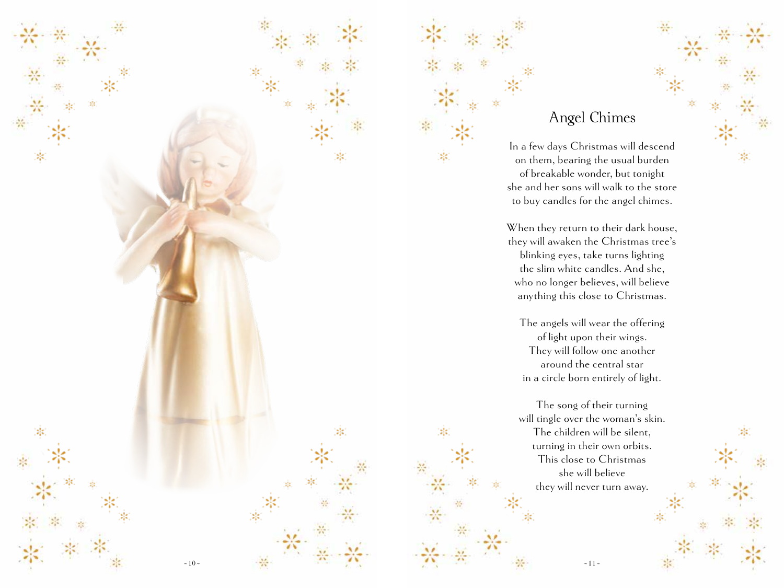

## Angel Chimes

In a few days Christmas will descend on them, bearing the usual burden of breakable wonder, but tonight she and her sons will walk to the store to buy candles for the angel chimes.

When they return to their dark house, they will awaken the Christmas tree's blinking eyes, take turns lighting the slim white candles. And she, who no longer believes, will believe anything this close to Christmas.

The angels will wear the offering of light upon their wings. They will follow one another around the central star in a circle born entirely of light.

The song of their turning will tingle over the woman's skin. The children will be silent, turning in their own orbits. This close to Christmas she will believe they will never turn away.

 $\sim$  11  $\sim$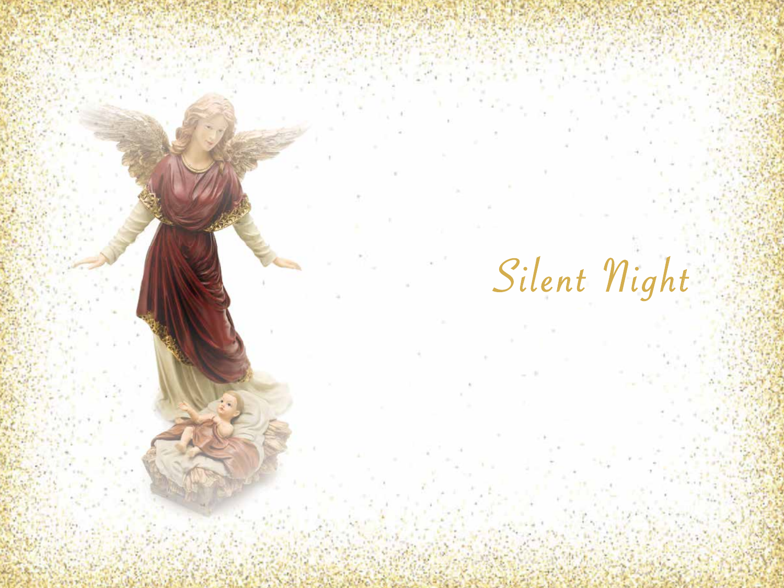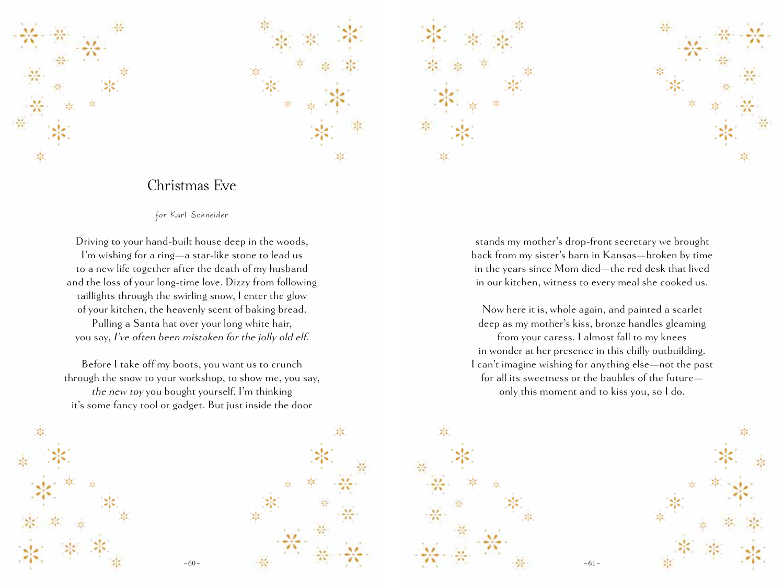



## Christmas Eve

for Karl Schneider

Driving to your hand-built house deep in the woods, I'm wishing for a ring—a star-like stone to lead us to a new life together after the death of my husband and the loss of your long-time love. Dizzy from following taillights through the swirling snow, I enter the glow of your kitchen, the heavenly scent of baking bread. Pulling a Santa hat over your long white hair,

you say, I've often been mistaken for the jolly old elf.

Before I take off my boots, you want us to crunch through the snow to your workshop, to show me, you say, the new toy you bought yourself. I'm thinking it's some fancy tool or gadget. But just inside the door



Now here it is, whole again, and painted a scarlet deep as my mother's kiss, bronze handles gleaming from your caress. I almost fall to my knees in wonder at her presence in this chilly outbuilding. I can't imagine wishing for anything else—not the past for all its sweetness or the baubles of the future only this moment and to kiss you, so I do.